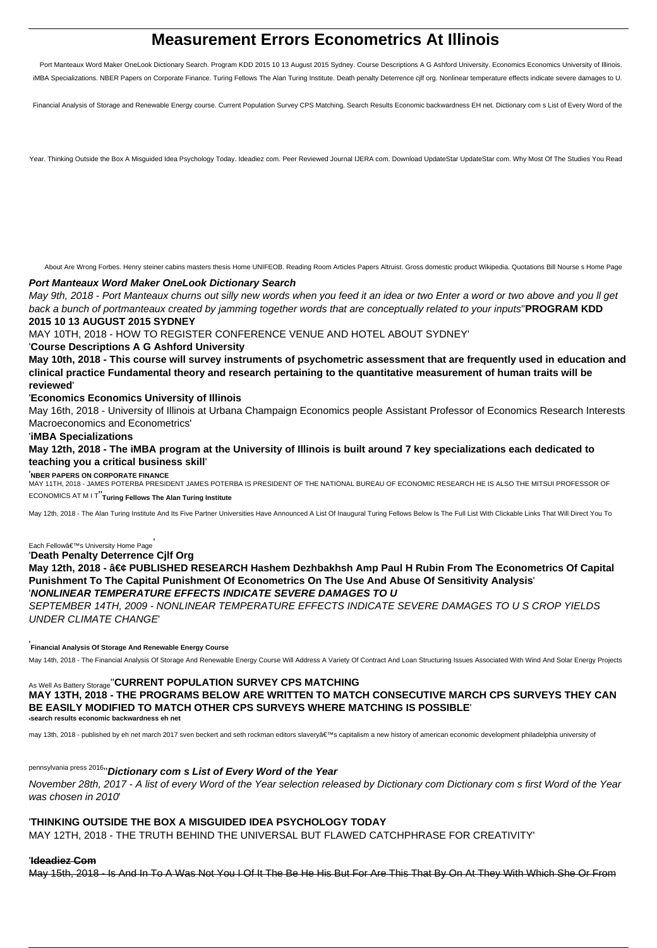# **Measurement Errors Econometrics At Illinois**

Port Manteaux Word Maker OneLook Dictionary Search. Program KDD 2015 10 13 August 2015 Sydney. Course Descriptions A G Ashford University. Economics Economics University of Illinois. iMBA Specializations. NBER Papers on Corporate Finance. Turing Fellows The Alan Turing Institute. Death penalty Deterrence cjlf org. Nonlinear temperature effects indicate severe damages to U.

Financial Analysis of Storage and Renewable Energy course. Current Population Survey CPS Matching. Search Results Economic backwardness EH net. Dictionary com s List of Every Word of the

Year. Thinking Outside the Box A Misguided Idea Psychology Today. Ideadiez com. Peer Reviewed Journal IJERA com. Download UpdateStar UpdateStar com. Why Most Of The Studies You Read

About Are Wrong Forbes. Henry steiner cabins masters thesis Home UNIFEOB. Reading Room Articles Papers Altruist. Gross domestic product Wikipedia. Quotations Bill Nourse s Home Page

#### **Port Manteaux Word Maker OneLook Dictionary Search**

May 9th, 2018 - Port Manteaux churns out silly new words when you feed it an idea or two Enter a word or two above and you ll get back a bunch of portmanteaux created by jamming together words that are conceptually related to your inputs''**PROGRAM KDD 2015 10 13 AUGUST 2015 SYDNEY**

MAY 10TH, 2018 - HOW TO REGISTER CONFERENCE VENUE AND HOTEL ABOUT SYDNEY'

#### '**Course Descriptions A G Ashford University**

**May 10th, 2018 - This course will survey instruments of psychometric assessment that are frequently used in education and clinical practice Fundamental theory and research pertaining to the quantitative measurement of human traits will be reviewed**'

#### '**Economics Economics University of Illinois**

May 16th, 2018 - University of Illinois at Urbana Champaign Economics people Assistant Professor of Economics Research Interests Macroeconomics and Econometrics'

#### '**iMBA Specializations**

**May 12th, 2018 - The iMBA program at the University of Illinois is built around 7 key specializations each dedicated to teaching you a critical business skill**'

#### '**NBER PAPERS ON CORPORATE FINANCE**

MAY 11TH, 2018 - JAMES POTERBA PRESIDENT JAMES POTERBA IS PRESIDENT OF THE NATIONAL BUREAU OF ECONOMIC RESEARCH HE IS ALSO THE MITSUI PROFESSOR OF ECONOMICS AT M I T''**Turing Fellows The Alan Turing Institute**

May 12th, 2018 - The Alan Turing Institute And Its Five Partner Universities Have Announced A List Of Inaugural Turing Fellows Below Is The Full List With Clickable Links That Will Direct You To

Each Fellow's University Home Page

'**Death Penalty Deterrence Cjlf Org**

May 12th, 2018 - • PUBLISHED RESEARCH Hashem Dezhbakhsh Amp Paul H Rubin From The Econometrics Of Capital **Punishment To The Capital Punishment Of Econometrics On The Use And Abuse Of Sensitivity Analysis**' '**NONLINEAR TEMPERATURE EFFECTS INDICATE SEVERE DAMAGES TO U**

SEPTEMBER 14TH, 2009 - NONLINEAR TEMPERATURE EFFECTS INDICATE SEVERE DAMAGES TO U S CROP YIELDS UNDER CLIMATE CHANGE'

## '**Financial Analysis Of Storage And Renewable Energy Course**

May 14th, 2018 - The Financial Analysis Of Storage And Renewable Energy Course Will Address A Variety Of Contract And Loan Structuring Issues Associated With Wind And Solar Energy Projects

## As Well As Battery Storage''**CURRENT POPULATION SURVEY CPS MATCHING MAY 13TH, 2018 - THE PROGRAMS BELOW ARE WRITTEN TO MATCH CONSECUTIVE MARCH CPS SURVEYS THEY CAN BE EASILY MODIFIED TO MATCH OTHER CPS SURVEYS WHERE MATCHING IS POSSIBLE**' '**search results economic backwardness eh net**

may 13th, 2018 - published by eh net march 2017 sven beckert and seth rockman editors slavery's capitalism a new history of american economic development philadelphia university of

## pennsylvania press 2016''**Dictionary com s List of Every Word of the Year**

November 28th, 2017 - A list of every Word of the Year selection released by Dictionary com Dictionary com s first Word of the Year was chosen in 2010'

#### '**THINKING OUTSIDE THE BOX A MISGUIDED IDEA PSYCHOLOGY TODAY**

MAY 12TH, 2018 - THE TRUTH BEHIND THE UNIVERSAL BUT FLAWED CATCHPHRASE FOR CREATIVITY'

#### '**Ideadiez Com**

May 15th, 2018 - Is And In To A Was Not You I Of It The Be He His But For Are This That By On At They With Which She Or From